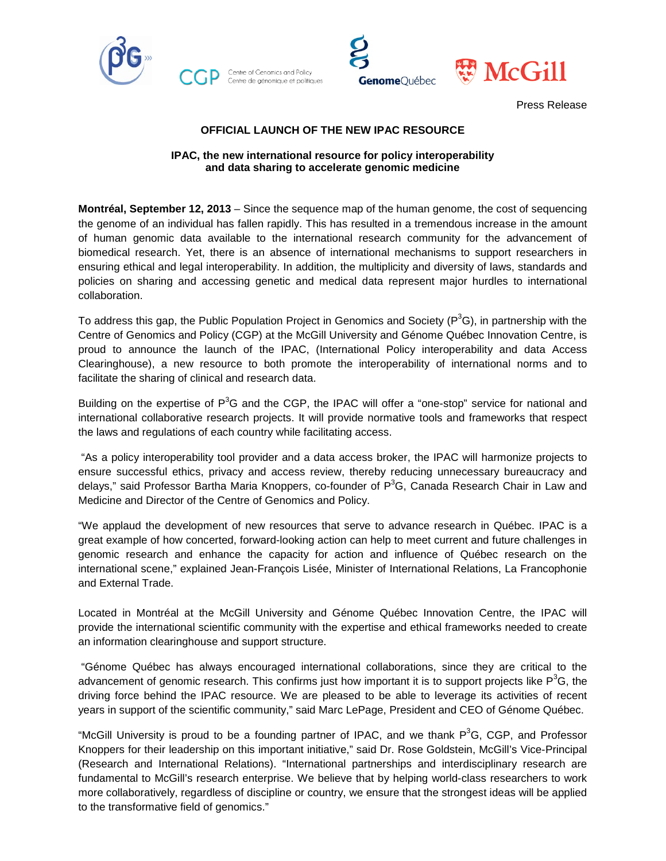





Press Release

## **OFFICIAL LAUNCH OF THE NEW IPAC RESOURCE**

### **IPAC, the new international resource for policy interoperability and data sharing to accelerate genomic medicine**

**Montréal, September 12, 2013** – Since the sequence map of the human genome, the cost of sequencing the genome of an individual has fallen rapidly. This has resulted in a tremendous increase in the amount of human genomic data available to the international research community for the advancement of biomedical research. Yet, there is an absence of international mechanisms to support researchers in ensuring ethical and legal interoperability. In addition, the multiplicity and diversity of laws, standards and policies on sharing and accessing genetic and medical data represent major hurdles to international collaboration.

To address this gap, the Public Population Project in Genomics and Society (P<sup>3</sup>G), in partnership with the Centre of Genomics and Policy (CGP) at the McGill University and Génome Québec Innovation Centre, is proud to announce the launch of the IPAC, (International Policy interoperability and data Access Clearinghouse), a new resource to both promote the interoperability of international norms and to facilitate the sharing of clinical and research data.

Building on the expertise of P<sup>3</sup>G and the CGP, the IPAC will offer a "one-stop" service for national and international collaborative research projects. It will provide normative tools and frameworks that respect the laws and regulations of each country while facilitating access.

"As a policy interoperability tool provider and a data access broker, the IPAC will harmonize projects to ensure successful ethics, privacy and access review, thereby reducing unnecessary bureaucracy and delays," said Professor Bartha Maria Knoppers, co-founder of P<sup>3</sup>G, Canada Research Chair in Law and Medicine and Director of the Centre of Genomics and Policy.

"We applaud the development of new resources that serve to advance research in Québec. IPAC is a great example of how concerted, forward-looking action can help to meet current and future challenges in genomic research and enhance the capacity for action and influence of Québec research on the international scene," explained Jean-François Lisée, Minister of International Relations, La Francophonie and External Trade.

Located in Montréal at the McGill University and Génome Québec Innovation Centre, the IPAC will provide the international scientific community with the expertise and ethical frameworks needed to create an information clearinghouse and support structure.

"Génome Québec has always encouraged international collaborations, since they are critical to the advancement of genomic research. This confirms just how important it is to support projects like  $P^3G$ , the driving force behind the IPAC resource. We are pleased to be able to leverage its activities of recent years in support of the scientific community," said Marc LePage, President and CEO of Génome Québec.

"McGill University is proud to be a founding partner of IPAC, and we thank  $P^3G$ , CGP, and Professor Knoppers for their leadership on this important initiative," said Dr. Rose Goldstein, McGill's Vice-Principal (Research and International Relations). "International partnerships and interdisciplinary research are fundamental to McGill's research enterprise. We believe that by helping world-class researchers to work more collaboratively, regardless of discipline or country, we ensure that the strongest ideas will be applied to the transformative field of genomics."